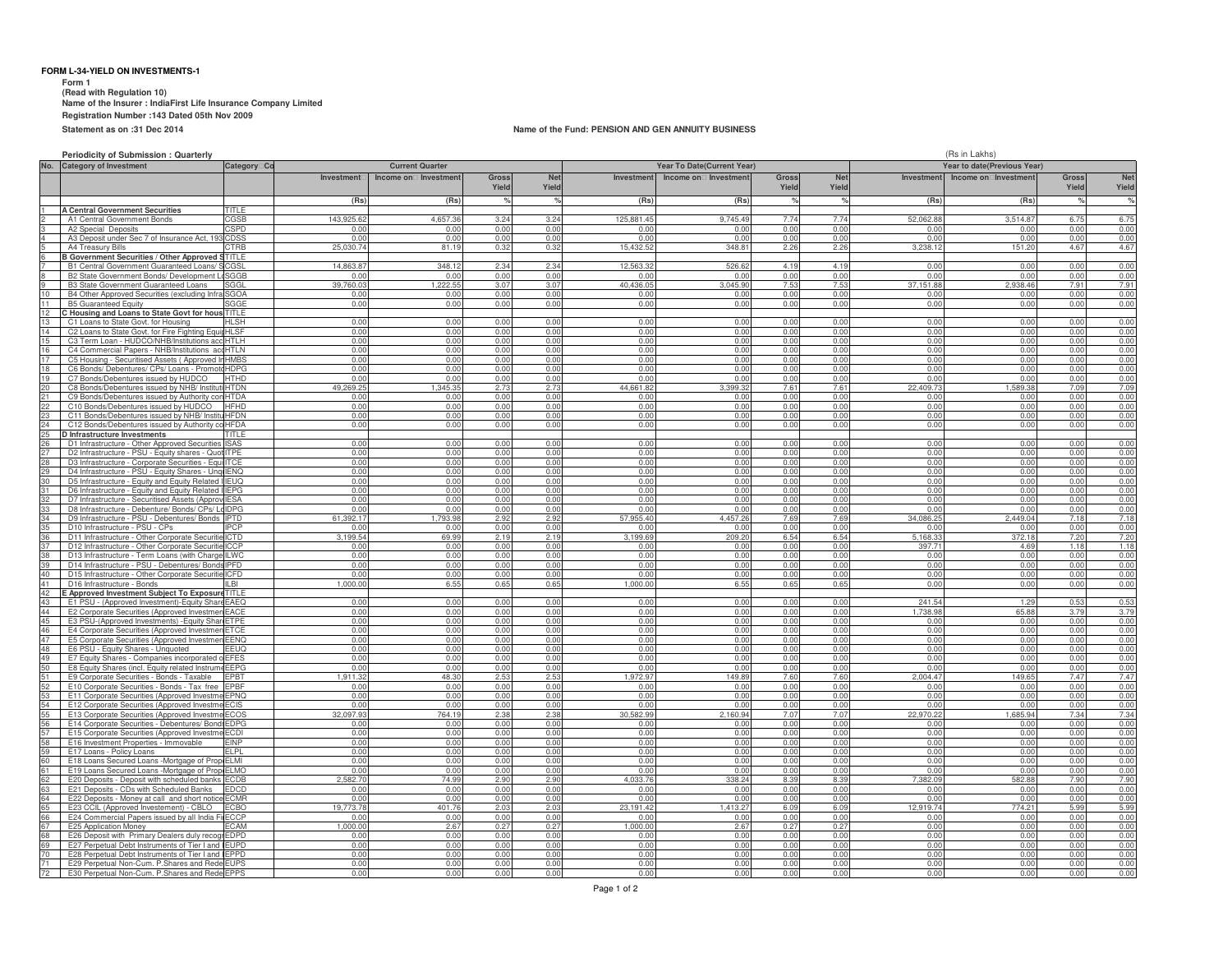## **FORM L-34-YIELD ON INVESTMENTS-1**

 **Form 1 (Read with Regulation 10) Name of the Insurer : IndiaFirst Life Insurance Company Limited Registration Number :143 Dated 05th Nov 2009Statement as on :31 Dec 2014**

#### **Name of the Fund: PENSION AND GEN ANNUITY BUSINESS**

**Periodicity of Submission : Quarterly**

|                        | Periodicity of Submission: Quarterly                                                                |                      |                                  |                        |                        |                     |                            |                        | (Rs in Lakhs)<br>Year to date(Previous Year) |                |                   |                                 |                        |                     |
|------------------------|-----------------------------------------------------------------------------------------------------|----------------------|----------------------------------|------------------------|------------------------|---------------------|----------------------------|------------------------|----------------------------------------------|----------------|-------------------|---------------------------------|------------------------|---------------------|
| No.                    | <b>Category of Investment</b>                                                                       | Category Co          |                                  | <b>Current Quarter</b> |                        |                     | Year To Date(Current Year) |                        |                                              |                |                   |                                 |                        |                     |
|                        |                                                                                                     |                      | Investment                       | Income on Investment   | Gross<br>Yield         | <b>Net</b><br>Yield | Investment                 | Income on Investment   | <b>Gross</b><br>Yield                        | Net<br>Yield   |                   | Investment Income on Investment | <b>Gross</b><br>Yield  | <b>Net</b><br>Yield |
|                        |                                                                                                     |                      | (Rs)                             | (Rs)                   |                        |                     | (Rs)                       | (Rs)                   |                                              |                | (Rs)              | (Rs)                            |                        | %                   |
|                        | <b>A Central Government Securities</b>                                                              | <b>TITLE</b>         |                                  |                        |                        |                     |                            |                        |                                              |                |                   |                                 |                        |                     |
|                        | A1 Central Government Bonds                                                                         | GSB<br>SPD           | 143,925.6<br>0.0                 | 4,657.3<br>0.0         | 3.24<br>0.01           | 3.24<br>0.00        | 125,881.4<br>0.0           | 9,745.49<br>0.0        | 7.74<br>0.00                                 | 7.74<br>0.01   | 52,062.8<br>0.0   | 3,514.8<br>0.0                  | 6.75<br>0.00           | 6.75<br>0.00        |
|                        | A2 Special Deposits<br>A3 Deposit under Sec 7 of Insurance Act, 19                                  | :DSS                 | 0.00                             | 0.01                   | 0.00                   | 0.00                | 0.00                       | 0.00                   | 0.00                                         | 0.00           | 0.00              | 0.0(                            | 0.00                   | 0.00                |
|                        | A4 Treasury Bills                                                                                   | CTRB                 | 25,030.74                        | 81.19                  | 0.32                   | 0.32                | 15.432.52                  | 348.8                  | 2.26                                         | 2.26           | 3.238.12          | 151.20                          | 4.67                   | 4.67                |
|                        | <b>B Government Securities / Other Approved</b>                                                     | TITI F               |                                  |                        |                        |                     |                            |                        |                                              |                |                   |                                 |                        |                     |
|                        | B1 Central Government Guaranteed Loans/                                                             | CGSI                 | 14,863.8                         | 348.1                  | 2.3 <sup>c</sup>       | 2.34                | 12.563.3                   | 526.6                  | 4.19                                         | 4.19           | 0 <sub>0</sub>    | 0.0(                            | 0.00                   | 0.00                |
|                        | B2 State Government Bonds/ Development                                                              | SGGB                 | 0.0                              | 0.00                   | 0.00                   | 0.00                | 0.0                        | 0.0                    | 0.00                                         | 0.00           | 0.00              | 0.0(                            | 0.00                   | 0.00                |
|                        | <b>B3 State Government Guaranteed Loans</b>                                                         | SGGI                 | 39,760.03                        | 1.222.55               | 3.07                   | 3.07                | 40.436.05                  | 3.045.90               | 7.53                                         | 7.53           | 37.151.88         | 2.938.46                        | 7.91                   | 7.91                |
| 10<br>11               | B4 Other Approved Securities (excluding Infra SGOA<br><b>B5 Guaranteed Equity</b>                   | SGGE                 | 0.00<br>0.00                     | 0.00<br>0.00           | 0.00<br>0.00           | 0.00<br>0.00        | 0.00<br>0.00               | 0.00<br>0.00           | 0.00<br>0.00                                 | 0.00<br>0.00   | 0.00<br>0.00      | 0.00<br>0.00                    | 0.00<br>0.00           | 0.00<br>0.00        |
| 12                     | C Housing and Loans to State Govt for hous TITLE                                                    |                      |                                  |                        |                        |                     |                            |                        |                                              |                |                   |                                 |                        |                     |
|                        | C1 Loans to State Govt. for Housing                                                                 | HL SH                | 0.00                             | 0.00                   | 0.00                   | 0.00                | 0.00                       | 0.00                   | 0.00                                         | 0.00           | 0.00              | 0.00                            | 0.00                   | 0.00                |
|                        | C2 Loans to State Govt. for Fire Fighting Equi                                                      | <b>ISE</b>           | 0.00                             | 0.00                   | 0.0(                   | 0.00                | 0.00                       | 0 <sub>0</sub>         | 0.00                                         | 0.0(           |                   | 0.0(                            | 0.00                   | 0.00                |
|                        | C3 Term Loan - HUDCO/NHB/Institutions ac                                                            | HTL H                | 0.00                             | 0.01                   | 0.01                   | 0.00                | 0.00                       | 0.00                   | 0.00                                         | 0.01           | 0.00              | 0.01                            | 0.00                   | 0.00                |
| 17                     | C4 Commercial Papers - NHB/Institutions ad                                                          | HTLN                 | 0.00                             | 0.00                   | 0.00                   | 0.00                | 0.00                       | 0.00                   | 0.00                                         | 0.00           | 0.00              | 0.00                            | 0.00                   | 0.00                |
|                        | C5 Housing - Securitised Assets (Approved                                                           | <b>HMRS</b><br>HDPG  | 0.00<br>0 <sub>0</sub>           | 0.00<br>0.01           | 0.00<br>0 <sub>0</sub> | 0.00<br>0.00        | 0.00<br>0 <sub>0</sub>     | 0.00<br>0 <sub>0</sub> | 0.00<br>0.00                                 | 0.00<br>0.01   | 0.00<br>0.00      | 0.00<br>0 <sub>0</sub>          | 0.00<br>0 <sub>0</sub> | 0.00<br>0.00        |
| 19                     | C6 Bonds/ Debentures/ CPs/ Loans - Prome<br>C7 Bonds/Debentures issued by HUDCC                     | HTHD                 | 0 <sub>0</sub>                   | 0.00                   | 0.00                   | 0.00                | 0.0(                       | 0.00                   | 0.00                                         | 0.00           | 0.00              | 0.0                             | 0.00                   | 0.00                |
| 20                     | C8 Bonds/Debentures issued by NHB/ Instit                                                           | <b>HTDN</b>          | 49 269 2                         | 345.35                 | 27                     | 2.73                | 44,661.82                  | 3.399.33               | 7.61                                         | 7.61           | 22 409 73         | 1,589.3                         | 70 <sub>c</sub>        | 7.09                |
|                        | C9 Bonds/Debentures issued by Authority co                                                          | <b>HTDA</b>          | 0.00                             | 0.00                   | 0.00                   | 0.00                | 0.00                       | 0.00                   | 0.00                                         | 0.00           | 0.00              | 0.00                            | 0.00                   | 0.00                |
|                        | C10 Bonds/Debentures issued by HUDCO                                                                | <b>HFHD</b>          | 0.00                             | 0.00                   | 0.00                   | 0.00                | 0.00                       | 0.00                   | 0.00                                         | 0.00           | 0.00              | 0.00                            | 0.00                   | 0.00                |
| 23                     | C11 Bonds/Debentures issued by NHB/ Instit                                                          | <b>HFDN</b>          |                                  | 0.00                   | 0.00                   | 0.00                | n nr                       | 0.00                   | 0.00                                         | 0.00           | 0.00              | 0.0(                            | 0.00                   | 0.00                |
| 24                     | C12 Bonds/Debentures issued by Authority                                                            | <b>HFDA</b>          | 0.00                             | 0.00                   | 0.00                   | 0.00                | 0.00                       | 0.00                   | 0.00                                         | 0.00           | 0.00              | 0.00                            | 0.00                   | 0.00                |
|                        | D Infrastructure Investments<br>D1 Infrastructure - Other Approved Securities                       | TITLE<br>SAS         | 0.00                             | 0.00                   | 0.0(                   | 0.00                | 0.00                       | 0.00                   | 0.00                                         | 0.0(           | 0.00              | 0.0(                            | 0.00                   | 0.00                |
|                        | D2 Infrastructure - PSU - Equity shares - Quo                                                       | <b>ITPF</b>          | 0.00                             | 0.01                   | 0.0                    | 0.00                | 0.00                       | 0.00                   | 0.00                                         | 0.0            | 0.00              | 0.01                            | 0.00                   | 0.00                |
|                        | D3 Infrastructure - Corporate Securities - Equ                                                      | <b>ITCE</b>          | 0.00                             | 0.00                   | 0.00                   | 0.00                | 0.00                       | 0.00                   | 0.00                                         | 0.0(           | 0.00              | 0.00                            | 0.00                   | 0.00                |
| 2Q                     | D4 Infrastructure - PSU - Equity Shares - Uno                                                       | <b>IFNO</b>          | 0.00                             | 0.00                   | 0.00                   | 0.00                | 0.00                       | 0.00                   | 0.00                                         | 0.00           | 0.00              | 0.00                            | 0.00                   | 0.00                |
| ٩Ń                     | D5 Infrastructure - Equity and Equity Related                                                       | <b>IFUO</b>          | 0 <sub>0</sub>                   | 0.00                   | 0 <sub>0</sub>         | 0.00                | 0.00                       | 0 <sub>0</sub>         | 0.00                                         | 0.01           | 0.00              | 0.0(                            | 0 <sub>0</sub>         | 0.00                |
| 31                     | D6 Infrastructure - Equity and Equity Related                                                       | <b>IFPG</b>          | 0.00                             | 0.00                   | 0.00                   | 0.00                | 0.00                       | 0.00                   | 0.00                                         | 0.0(           | 0.00              | 0.0(                            | 0.00                   | 0.00                |
| 32                     | D7 Infrastructure - Securitised Assets (Appro                                                       | <b>IFSA</b>          | 0 <sub>0</sub><br>0 <sub>0</sub> | 0.00                   | 0 <sub>0</sub>         | 0 <sub>0</sub>      | 0 <sub>0</sub>             | 0 <sub>0</sub>         | 0.00                                         | 0 <sub>0</sub> | 0.00              | 0 <sub>0</sub>                  | n no                   | 0.00                |
| 33<br>34               | D8 Infrastructure - Debenture/ Bonds/ CPs/ L<br>D9 Infrastructure - PSU - Debentures/ Bonds IPTD    | dIDPG                | 61,392.17                        | 0.00<br>1,793.98       | 0.00<br>2.92           | 0.00<br>2.92        | 0.00<br>57,955.40          | 0.00<br>4,457.26       | 0.00<br>7.69                                 | 0.00<br>7.69   | 0.00<br>34,086.25 | 0.00<br>2,449.04                | 0.00<br>7.18           | 0.00<br>7.18        |
| 35                     | D10 Infrastructure - PSU - CPs                                                                      | <b>IPCP</b>          |                                  | 0.00                   | 0.00                   | 0.00                | 0.00                       | 0.00                   | 0.00                                         | 0.00           | 0.00              | 0.00                            | 0.00                   | 0.00                |
|                        | D11 Infrastructure - Other Corporate Securiti                                                       | <b>ICTD</b>          | 3.199.54                         | 69.99                  | 2.19                   | 2.19                | 3.199.69                   | 209.20                 | 6.54                                         | 6.54           | 5.168.3           | 372.18                          | 7.20                   | 7.20                |
|                        | D12 Infrastructure - Other Corporate Securiti                                                       | CCP                  | 0.01                             | 0.00                   | 0.00                   | 0.00                | 0.00                       | 0.00                   | 0.00                                         | 0.00           | 397.71            | 4.69                            | 1.18                   | 1.18                |
|                        | D13 Infrastructure - Term Loans (with Charge                                                        | LWC                  | 0.00                             | 0.00                   | 0.0(                   | 0.00                | 0.00                       | 0.00                   | 0.00                                         | 0.00           |                   | 0.00                            | 0.00                   | 0.00                |
| 40                     | D14 Infrastructure - PSU - Debentures/ Bond                                                         | IPFD                 | 0.00<br>0.00                     | 0.00                   | 0.0(                   | 0.00                | 0.00                       | 0.00                   | 0.00                                         | 0.0(           | 0.00              | 0.0(                            | 0.00                   | 0.00                |
| $\Lambda$ <sup>1</sup> | D15 Infrastructure - Other Corporate Securiti<br>D16 Infrastructure - Bonds                         | CFD<br>$II$ RI       | 1.000.01                         | 0.00<br>6.55           | 0.00<br>0.65           | 0.00<br>0.65        | 0.00<br>1,000.00           | 0.00<br>6.55           | 0.00<br>0.65                                 | 0.00<br>0.65   | 0.00<br>0.00      | 0.0(<br>0.00                    | 0.00<br>0.00           | 0.00<br>0.00        |
|                        | : Approved Investment Subject To Exposur                                                            | TITI F               |                                  |                        |                        |                     |                            |                        |                                              |                |                   |                                 |                        |                     |
| 43                     | E1 PSU - (Approved Investment)-Equity Sha                                                           | <b>FAFC</b>          | 0 <sub>0</sub>                   | 0.00                   | 0 <sub>0</sub>         | 0.00                | 0 <sub>0</sub>             | 0 <sub>0</sub>         | 0.00                                         | 0.0            | 241.54            | 12                              | 0.5                    | 0.53                |
| 44                     | E2 Corporate Securities (Approved Investme                                                          | <b>FACE</b>          | 0 <sub>0</sub>                   | n nr                   | 0 <sub>0</sub>         | n nr                | 0 <sub>0</sub>             | 0 <sub>0</sub>         | n no                                         | 0 <sub>0</sub> | 17389             | 65.81                           | 37 <sup>c</sup>        | 3.79                |
| 45                     | E3 PSU-(Approved Investments) - Equity Sha                                                          | <b>FTPF</b>          | 0.00                             | 0.00                   | 0.00                   | 0.00                | 0.00                       | 0.00                   | 0.00                                         | 0.00           | 0.00              | 0.00                            | 0.00                   | 0.00                |
| 46                     | E4 Corporate Securities (Approved Investme                                                          | <b>IETCE</b>         | 0.00                             | 0.00                   | 0.00                   | 0.00                | 0.00                       | 0.00                   | 0.00                                         | 0.00           | 0.00              | 0.00                            | 0.00                   | 0.00                |
| 47<br>48               | E5 Corporate Securities (Approved Investme<br>E6 PSU - Equity Shares - Unquoted                     | <b>IFFNO</b><br>EEUQ | n nr                             | 0.00<br>0.00           | 0.00<br>0.0(           | 0.00<br>0.00        | 0.00<br>0 <sup>0</sup>     | 0.00<br>0 <sup>0</sup> | 0.00<br>0.00                                 | 0.00<br>0.00   | 0.00<br>0.00      | 0.00<br>0.00                    | 0.00<br>0.00           | 0.00<br>0.00        |
| 49                     | E7 Equity Shares - Companies incorporated                                                           | FFFS                 | 0.00                             | 0.00                   | 0.01                   | 0.00                | 0.00                       | 0.00                   | 0.00                                         | 0.00           | 0.00              | 0.01                            | 0.00                   | 0.00                |
|                        | E8 Equity Shares (incl. Equity related Instrur                                                      | EEPG                 | 0 <sub>0</sub>                   | 0.00                   | 0.0(                   | 0.00                | 0.00                       | 0.00                   | 0.00                                         | 0.0(           |                   | 0.0(                            | 0.00                   | 0.00                |
|                        | E9 Corporate Securities - Bonds - Taxable                                                           | PBT                  | .911.3                           | 48.3                   | 2.5                    | $2.5^{\circ}$       | 1.972.9                    | 149.8                  | 7.60                                         | 7.60           | 2.004.47          | 149.6                           | 7.47                   | 7.47                |
|                        | E10 Corporate Securities - Bonds - Tax free                                                         | <b>FPBF</b>          | 0.00                             | 0.00                   | 0.00                   | 0.00                | 0.00                       | 0.00                   | 0.00                                         | 0.00           | 0.00              | 0.0(                            | 0.00                   | 0.00                |
| 53                     | E11 Corporate Securities (Approved Investm                                                          | <b>EPNQ</b>          | 0 <sub>0</sub>                   | 0.00                   | 0.00                   | 0.00                | 0.00                       | 0.00                   | 0.00                                         | 0.00           | 0.00              | 0.00                            | 0.00                   | 0.00                |
| 54<br>55               | E12 Corporate Securities (Approved Investn<br>E13 Corporate Securities (Approved Investr            | ECIS<br>ECOS         | 0 <sub>0</sub><br>32 097 9       | 0.00<br>764.19         | 0 <sub>0</sub><br>2.38 | 0.00<br>2.38        | 0.00<br>30.582.99          | 0.00<br>2.160.94       | 0.00<br>7.07                                 | 0.00<br>7.0    | 22 970 2          | 0 <sub>0</sub><br>.685.94       | 7.34                   | 0.00<br>7.34        |
| 56                     | E14 Corporate Securities - Debentures/ Bor                                                          | <b>EDPG</b>          | 0 <sub>0</sub>                   | 0.00                   | 0 <sub>0</sub>         | 0 <sub>0</sub>      | 0 <sub>0</sub>             |                        | n no                                         | 0 <sub>0</sub> |                   | 0 <sub>0</sub>                  | n no                   | 0.00                |
|                        | E15 Corporate Securities (Approved Investm                                                          | <b>FCDI</b>          | 0.00                             | 0.00                   | 0.00                   | 0.00                | 0.00                       | 0.00                   | 0.00                                         | 0.00           | 0.00              | 0.00                            | 0.00                   | 0.00                |
| 58                     | E16 Investment Properties - Immovable                                                               | <b>FINP</b>          | 0.00                             | 0.00                   | 0.00                   | 0.00                | 0.00                       | 0.00                   | 0.00                                         | 0.00           | 0.00              | 0.00                            | 0.00                   | 0.00                |
| 59                     | E17 Loans - Policy Loans                                                                            | FLPL                 | n nr                             | 0.00                   | 0.00                   | 0.00                | 0.00                       | 0.00                   | 0.00                                         | 0.00           | 0.00              | 0.00                            | 0.00                   | 0.00                |
| 60                     | E18 Loans Secured Loans - Mortgage of Pro                                                           | FI MI                | 0 <sub>0</sub>                   | 0.00                   | 0.00                   | 0.00                | 0.00                       | 0.00                   | 0.00                                         | 0.00           | 0.00              | 0.00                            | 0.00                   | 0.00                |
|                        | E19 Loans Secured Loans -Mortgage of Pro                                                            | <b>ELMO</b>          | 0.00<br>25827                    | 0.00<br>74.99          | 0.00                   | 0.00                | 0.00<br>4 033 7            | 0.00                   | 0.00                                         | 0.00           | 0.00<br>7.3820    | 0.01                            | 0.00                   | 0.00<br>7.90        |
|                        | E20 Deposits - Deposit with scheduled banks<br>E21 Deposits - CDs with Scheduled Banks              | CDB<br>DCD           | 0.01                             | 0.00                   | 2.90<br>0.00           | 2.90<br>0.00        | 0.0                        | 338.24<br>0.0          | 8.39<br>0.00                                 | 8.39<br>0.0(   | 0.0               | 582.8<br>0.0(                   | 7.90<br>0.00           | 0.00                |
|                        | E22 Deposits - Money at call and short notic                                                        | CMR                  | 0.00                             | 0.00                   | 0.00                   | 0.00                | 0.0(                       | 0.00                   | 0.00                                         | 0.00           | 0.00              | 0.0(                            | 0.00                   | 0.00                |
| 65                     | E23 CCIL (Approved Investement) - CBLO                                                              | <b>ECBO</b>          | 19,773.7                         | 401.76                 | 2.03                   | 2.03                | 23.191.42                  | 1.413.27               | 6.09                                         | 6.09           | 12,919.74         | 774.21                          | 5.99                   | 5.99                |
| 66                     | E24 Commercial Papers issued by all India F                                                         | FCCP                 | 0 <sub>0</sub>                   | 0.00                   | 0 <sub>0</sub>         | 0.00                | 0.0                        | 0.00                   | 0.00                                         | 0.00           | 0 <sub>0</sub>    | 0.0(                            |                        | 0.00                |
|                        | E25 Application Money                                                                               | CAM                  | .000.0                           | 2.67                   | 0.27                   | 0.27                | 1.000.0                    | 2.67                   | 0.27                                         | 0.2            | 0.00              | 0.0(                            | 0.00                   | 0.00                |
|                        | E26 Deposit with Primary Dealers duly reco                                                          | <b>FDPD</b>          | 0 <sub>0</sub>                   | n nr                   | 0 <sub>0</sub>         | n nr                | 0 <sub>0</sub>             | 0 <sub>0</sub>         | n no                                         | 0 <sub>0</sub> | n no              | 0 <sub>0</sub>                  | n no                   | 0.00                |
|                        | E27 Perpetual Debt Instruments of Tier I and                                                        | <b>FUPD</b>          | 0.00<br>0.00                     | 0.00<br>0.00           | 0.00                   | 0.00                | 0.00<br>0.00               | 0.00<br>0.00           | 0.00                                         | 0.00           | 0.00              | 0.00                            | 0.00<br>0.00           | 0.00                |
| 71                     | E28 Perpetual Debt Instruments of Tier I and IEPPD<br>E29 Perpetual Non-Cum. P.Shares and Rede EUPS |                      | 0.00                             | 0.00                   | 0.00<br>0.00           | 0.00<br>0.00        | 0.00                       | 0.00                   | 0.00<br>0.00                                 | 0.00<br>0.00   | 0.00<br>0.00      | 0.00<br>0.00                    | 0.00                   | 0.00<br>0.00        |
| 72                     | E30 Perpetual Non-Cum. P.Shares and Rede EPPS                                                       |                      | 0.00                             | 0.00                   | 0.00                   | 0.00                | 0.00                       | 0.00                   | 0.00                                         | 0.00           | 0.00              | 0.00                            | 0.00                   | 0.00                |
|                        |                                                                                                     |                      |                                  |                        |                        |                     |                            |                        |                                              |                |                   |                                 |                        |                     |